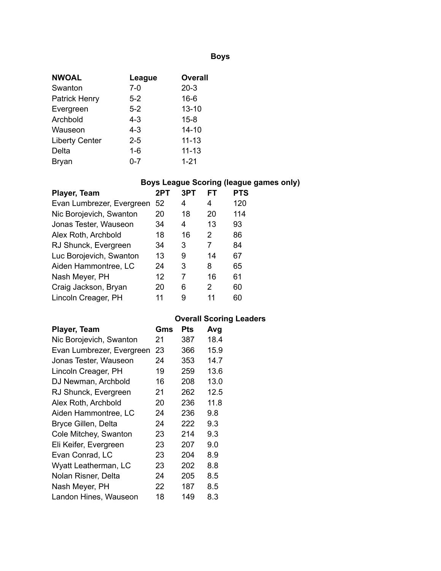# **Boys**

| <b>NWOAL</b>          | League  | <b>Overall</b> |
|-----------------------|---------|----------------|
| Swanton               | $7-0$   | $20-3$         |
| <b>Patrick Henry</b>  | $5-2$   | $16 - 6$       |
| Evergreen             | $5-2$   | $13 - 10$      |
| Archbold              | 4-3     | $15 - 8$       |
| Wauseon               | 4-3     | $14 - 10$      |
| <b>Liberty Center</b> | $2 - 5$ | $11 - 13$      |
| Delta                 | $1 - 6$ | $11 - 13$      |
| <b>Bryan</b>          | 0-7     | $1 - 21$       |

# **Boys League Scoring (league games only)**

| Player, Team              | 2PT | 3PT | FT | <b>PTS</b> |
|---------------------------|-----|-----|----|------------|
| Evan Lumbrezer, Evergreen | 52  | 4   | 4  | 120        |
| Nic Borojevich, Swanton   | 20  | 18  | 20 | 114        |
| Jonas Tester, Wauseon     | 34  | 4   | 13 | 93         |
| Alex Roth, Archbold       | 18  | 16  | 2  | 86         |
| RJ Shunck, Evergreen      | 34  | 3   | 7  | 84         |
| Luc Borojevich, Swanton   | 13  | 9   | 14 | 67         |
| Aiden Hammontree, LC      | 24  | 3   | 8  | 65         |
| Nash Meyer, PH            | 12  | 7   | 16 | 61         |
| Craig Jackson, Bryan      | 20  | 6   | 2  | 60         |
| Lincoln Creager, PH       | 11  | 9   | 11 | 60         |

# **Overall Scoring Leaders**

| Player, Team              | Gms | <b>Pts</b> | Avg  |
|---------------------------|-----|------------|------|
| Nic Borojevich, Swanton   | 21  | 387        | 18.4 |
| Evan Lumbrezer, Evergreen | 23  | 366        | 15.9 |
| Jonas Tester, Wauseon     | 24  | 353        | 14.7 |
| Lincoln Creager, PH       | 19  | 259        | 13.6 |
| DJ Newman, Archbold       | 16  | 208        | 13.0 |
| RJ Shunck, Evergreen      | 21  | 262        | 12.5 |
| Alex Roth, Archbold       | 20  | 236        | 11.8 |
| Aiden Hammontree, LC      | 24  | 236        | 9.8  |
| Bryce Gillen, Delta       | 24  | 222        | 9.3  |
| Cole Mitchey, Swanton     | 23  | 214        | 9.3  |
| Eli Keifer, Evergreen     | 23  | 207        | 9.0  |
| Evan Conrad, LC           | 23  | 204        | 8.9  |
| Wyatt Leatherman, LC      | 23  | 202        | 8.8  |
| Nolan Risner, Delta       | 24  | 205        | 8.5  |
| Nash Meyer, PH            | 22  | 187        | 8.5  |
| Landon Hines, Wauseon     | 18  | 149        | 8.3  |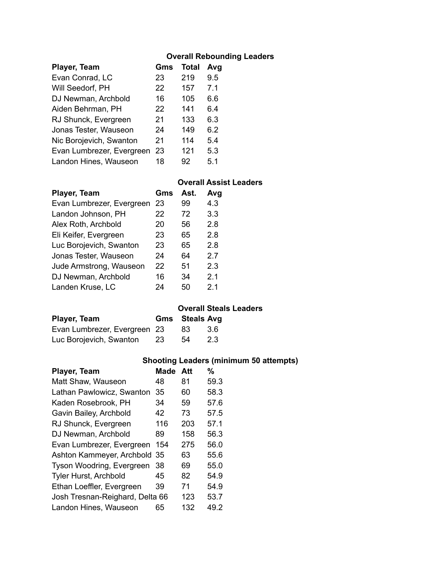### **Overall Rebounding Leaders**

| Player, Team              | Gms | <b>Total</b> | Avg |  |
|---------------------------|-----|--------------|-----|--|
| Evan Conrad, LC           | 23  | 219          | 9.5 |  |
| Will Seedorf, PH          | 22  | 157          | 7.1 |  |
| DJ Newman, Archbold       | 16  | 105          | 6.6 |  |
| Aiden Behrman, PH         | 22  | 141          | 6.4 |  |
| RJ Shunck, Evergreen      | 21  | 133          | 6.3 |  |
| Jonas Tester, Wauseon     | 24  | 149          | 6.2 |  |
| Nic Borojevich, Swanton   | 21  | 114          | 5.4 |  |
| Evan Lumbrezer, Evergreen | 23  | 121          | 5.3 |  |
| Landon Hines, Wauseon     | 18  | 92           | 5.1 |  |
|                           |     |              |     |  |

#### **Overall Assist Leaders**

| Player, Team              | Gms | Ast. | Avg |
|---------------------------|-----|------|-----|
| Evan Lumbrezer, Evergreen | 23  | 99   | 4.3 |
| Landon Johnson, PH        | 22  | 72   | 3.3 |
| Alex Roth, Archbold       | 20  | 56   | 2.8 |
| Eli Keifer, Evergreen     | 23  | 65   | 2.8 |
| Luc Borojevich, Swanton   | 23  | 65   | 2.8 |
| Jonas Tester, Wauseon     | 24  | 64   | 2.7 |
| Jude Armstrong, Wauseon   | 22  | 51   | 2.3 |
| DJ Newman, Archbold       | 16  | 34   | 2.1 |
| Landen Kruse, LC          | 24  | 50   | 2.1 |

#### **Overall Steals Leaders**

| Player, Team                 |     | <b>Gms</b> Steals Avg |      |
|------------------------------|-----|-----------------------|------|
| Evan Lumbrezer, Evergreen 23 |     | 83                    | -3.6 |
| Luc Borojevich, Swanton      | -23 | 54                    | 2.3  |

### **Shooting Leaders (minimum 50 attempts)**

| Player, Team                    | Made | Att | %    |
|---------------------------------|------|-----|------|
| Matt Shaw, Wauseon              | 48   | 81  | 59.3 |
| Lathan Pawlowicz, Swanton       | 35   | 60  | 58.3 |
| Kaden Rosebrook, PH             | 34   | 59  | 57.6 |
| Gavin Bailey, Archbold          | 42   | 73  | 57.5 |
| RJ Shunck, Evergreen            | 116  | 203 | 57.1 |
| DJ Newman, Archbold             | 89   | 158 | 56.3 |
| Evan Lumbrezer, Evergreen       | 154  | 275 | 56.0 |
| Ashton Kammeyer, Archbold 35    |      | 63  | 55.6 |
| Tyson Woodring, Evergreen       | 38   | 69  | 55.0 |
| Tyler Hurst, Archbold           | 45   | 82  | 54.9 |
| Ethan Loeffler, Evergreen       | 39   | 71  | 54.9 |
| Josh Tresnan-Reighard, Delta 66 |      | 123 | 53.7 |
| Landon Hines, Wauseon           | 65   | 132 | 49.2 |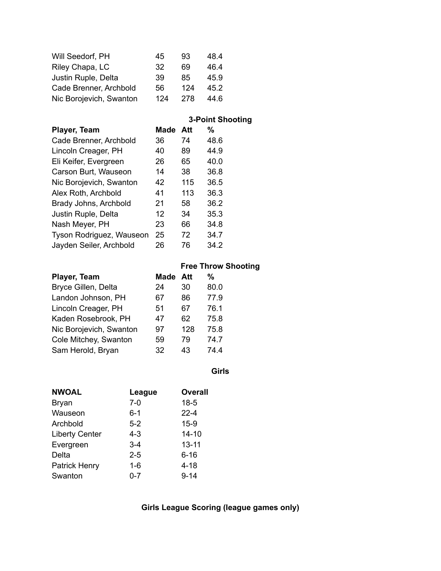| Will Seedorf, PH        | 45  | 93  | 48.4 |
|-------------------------|-----|-----|------|
| Riley Chapa, LC         | 32  | 69  | 46.4 |
| Justin Ruple, Delta     | 39  | 85  | 45.9 |
| Cade Brenner, Archbold  | 56  | 124 | 45.2 |
| Nic Borojevich, Swanton | 124 | 278 | 44.6 |

|  | <b>3-Point Shooting</b> |  |
|--|-------------------------|--|
|  |                         |  |

| Player, Team             | Made | Att | %    |
|--------------------------|------|-----|------|
| Cade Brenner, Archbold   | 36   | 74  | 48.6 |
| Lincoln Creager, PH      | 40   | 89  | 44.9 |
| Eli Keifer, Evergreen    | 26   | 65  | 40.0 |
| Carson Burt, Wauseon     | 14   | 38  | 36.8 |
| Nic Borojevich, Swanton  | 42   | 115 | 36.5 |
| Alex Roth, Archbold      | 41   | 113 | 36.3 |
| Brady Johns, Archbold    | 21   | 58  | 36.2 |
| Justin Ruple, Delta      | 12   | 34  | 35.3 |
| Nash Meyer, PH           | 23   | 66  | 34.8 |
| Tyson Rodriguez, Wauseon | 25   | 72  | 34.7 |
| Jayden Seiler, Archbold  | 26   | 76  | 34.2 |

|                         |      |     | <b>Free Throw Shooting</b> |
|-------------------------|------|-----|----------------------------|
| Player, Team            | Made | Att | %                          |
| Bryce Gillen, Delta     | 24   | 30  | 80.0                       |
| Landon Johnson, PH      | 67   | 86  | 77.9                       |
| Lincoln Creager, PH     | 51   | 67  | 76.1                       |
| Kaden Rosebrook, PH     | 47   | 62  | 75.8                       |
| Nic Borojevich, Swanton | 97   | 128 | 75.8                       |
| Cole Mitchey, Swanton   | 59   | 79  | 74.7                       |
| Sam Herold, Bryan       | 32   | 43  | 74.4                       |

**Girls**

| <b>NWOAL</b>          | League  | <b>Overall</b> |
|-----------------------|---------|----------------|
| <b>Bryan</b>          | $7-0$   | $18 - 5$       |
| Wauseon               | $6 - 1$ | $22 - 4$       |
| Archbold              | $5-2$   | $15-9$         |
| <b>Liberty Center</b> | $4 - 3$ | $14 - 10$      |
| Evergreen             | $3 - 4$ | $13 - 11$      |
| Delta                 | $2 - 5$ | $6 - 16$       |
| <b>Patrick Henry</b>  | 1-6     | $4 - 18$       |
| Swanton               | $0 - 7$ | $9 - 14$       |

**Girls League Scoring (league games only)**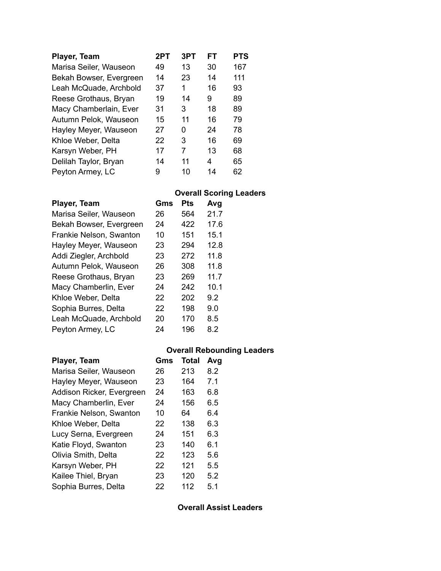| Player, Team            | 2PT | 3PT | FT | PTS |
|-------------------------|-----|-----|----|-----|
| Marisa Seiler, Wauseon  | 49  | 13  | 30 | 167 |
| Bekah Bowser, Evergreen | 14  | 23  | 14 | 111 |
| Leah McQuade, Archbold  | 37  | 1   | 16 | 93  |
| Reese Grothaus, Bryan   | 19  | 14  | 9  | 89  |
| Macy Chamberlain, Ever  | 31  | 3   | 18 | 89  |
| Autumn Pelok, Wauseon   | 15  | 11  | 16 | 79  |
| Hayley Meyer, Wauseon   | 27  | O   | 24 | 78  |
| Khloe Weber, Delta      | 22  | 3   | 16 | 69  |
| Karsyn Weber, PH        | 17  | 7   | 13 | 68  |
| Delilah Taylor, Bryan   | 14  | 11  | 4  | 65  |
| Peyton Armey, LC        | 9   | 10  | 14 | 62  |

#### **Overall Scoring Leaders**

| Gms | Pts | Avg  |
|-----|-----|------|
| 26  | 564 | 21.7 |
| 24  | 422 | 17.6 |
| 10  | 151 | 15.1 |
| 23  | 294 | 12.8 |
| 23  | 272 | 11.8 |
| 26  | 308 | 11.8 |
| 23  | 269 | 11.7 |
| 24  | 242 | 10.1 |
| 22  | 202 | 9.2  |
| 22  | 198 | 9.0  |
| 20  | 170 | 8.5  |
| 24  | 196 | 8.2  |
|     |     |      |

### **Overall Rebounding Leaders Player, Team Gms Total Avg** Marisa Seiler, Wauseon 26 213 8.2 Hayley Meyer, Wauseon 23 164 7.1 Addison Ricker, Evergreen 24 163 6.8 Macy Chamberlin, Ever 24 156 6.5 Frankie Nelson, Swanton 10 64 6.4 Khloe Weber, Delta  $22$  138 6.3 Lucy Serna, Evergreen 24 151 6.3 Katie Floyd, Swanton 23 140 6.1 Olivia Smith, Delta 22 123 5.6 Karsyn Weber, PH 22 121 5.5 Kailee Thiel, Bryan 23 120 5.2 Sophia Burres, Delta 22 112 5.1

**Overall Assist Leaders**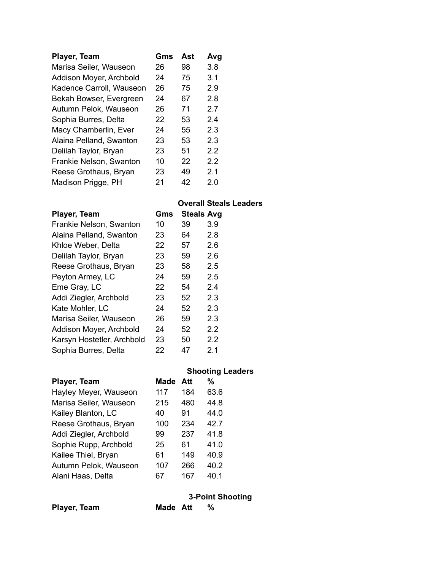| Player, Team             | Gms | Ast | Avg     |
|--------------------------|-----|-----|---------|
| Marisa Seiler, Wauseon   | 26  | 98  | 3.8     |
| Addison Moyer, Archbold  | 24  | 75  | 3.1     |
| Kadence Carroll, Wauseon | 26  | 75  | 2.9     |
| Bekah Bowser, Evergreen  | 24  | 67  | 2.8     |
| Autumn Pelok, Wauseon    | 26  | 71  | 2.7     |
| Sophia Burres, Delta     | 22  | 53  | 2.4     |
| Macy Chamberlin, Ever    | 24  | 55  | 2.3     |
| Alaina Pelland, Swanton  | 23  | 53  | 2.3     |
| Delilah Taylor, Bryan    | 23  | 51  | 2.2     |
| Frankie Nelson, Swanton  | 10  | 22  | $2.2\,$ |
| Reese Grothaus, Bryan    | 23  | 49  | 2.1     |
| Madison Prigge, PH       | 21  | 42  | 2.0     |

### **Overall Steals Leaders**

| Gms |    |                   |
|-----|----|-------------------|
| 10  | 39 | 3.9               |
| 23  | 64 | 2.8               |
| 22  | 57 | 2.6               |
| 23  | 59 | 2.6               |
| 23  | 58 | 2.5               |
| 24  | 59 | 2.5               |
| 22  | 54 | 2.4               |
| 23  | 52 | 2.3               |
| 24  | 52 | 2.3               |
| 26  | 59 | 2.3               |
| 24  | 52 | 2.2               |
| 23  | 50 | 2.2               |
| 22  | 47 | 2.1               |
|     |    | <b>Steals Avg</b> |

|                        |      |       | <b>Shooting Leaders</b> |
|------------------------|------|-------|-------------------------|
| Player, Team           | Made | - Aff | %                       |
| Hayley Meyer, Wauseon  | 117  | 184   | 63.6                    |
| Marisa Seiler, Wauseon | 215  | 480   | 44.8                    |
| Kailey Blanton, LC     | 40   | 91    | 44.0                    |
| Reese Grothaus, Bryan  | 100  | 234   | 42.7                    |
| Addi Ziegler, Archbold | 99   | 237   | 41.8                    |
| Sophie Rupp, Archbold  | 25   | 61    | 41 0                    |
| Kailee Thiel, Bryan    | 61   | 149   | 40.9                    |
| Autumn Pelok, Wauseon  | 107  | 266   | 40.2                    |
| Alani Haas, Delta      | 67   | 167   | 40.1                    |

|  |  | <b>3-Point Shooting</b> |  |
|--|--|-------------------------|--|
|  |  |                         |  |

| Player, Team | Made Att | % |
|--------------|----------|---|
|              |          |   |